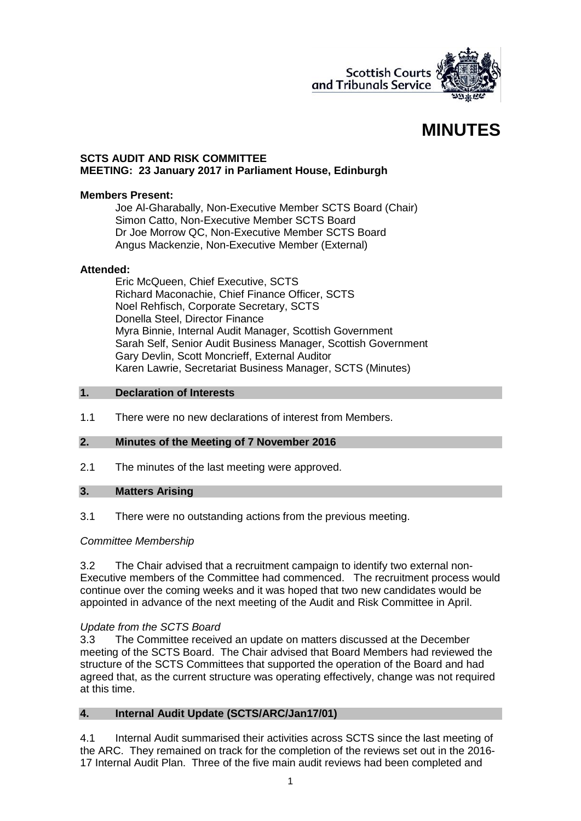

# **MINUTES**

## **SCTS AUDIT AND RISK COMMITTEE MEETING: 23 January 2017 in Parliament House, Edinburgh**

## **Members Present:**

Joe Al-Gharabally, Non-Executive Member SCTS Board (Chair) Simon Catto, Non-Executive Member SCTS Board Dr Joe Morrow QC, Non-Executive Member SCTS Board Angus Mackenzie, Non-Executive Member (External)

## **Attended:**

Eric McQueen, Chief Executive, SCTS Richard Maconachie, Chief Finance Officer, SCTS Noel Rehfisch, Corporate Secretary, SCTS Donella Steel, Director Finance Myra Binnie, Internal Audit Manager, Scottish Government Sarah Self, Senior Audit Business Manager, Scottish Government Gary Devlin, Scott Moncrieff, External Auditor Karen Lawrie, Secretariat Business Manager, SCTS (Minutes)

## **1. Declaration of Interests**

1.1 There were no new declarations of interest from Members.

### **2. Minutes of the Meeting of 7 November 2016**

2.1 The minutes of the last meeting were approved.

## **3. Matters Arising**

3.1 There were no outstanding actions from the previous meeting.

## *Committee Membership*

3.2 The Chair advised that a recruitment campaign to identify two external non-Executive members of the Committee had commenced. The recruitment process would continue over the coming weeks and it was hoped that two new candidates would be appointed in advance of the next meeting of the Audit and Risk Committee in April.

## *Update from the SCTS Board*

3.3 The Committee received an update on matters discussed at the December meeting of the SCTS Board. The Chair advised that Board Members had reviewed the structure of the SCTS Committees that supported the operation of the Board and had agreed that, as the current structure was operating effectively, change was not required at this time.

## **4. Internal Audit Update (SCTS/ARC/Jan17/01)**

4.1 Internal Audit summarised their activities across SCTS since the last meeting of the ARC. They remained on track for the completion of the reviews set out in the 2016- 17 Internal Audit Plan. Three of the five main audit reviews had been completed and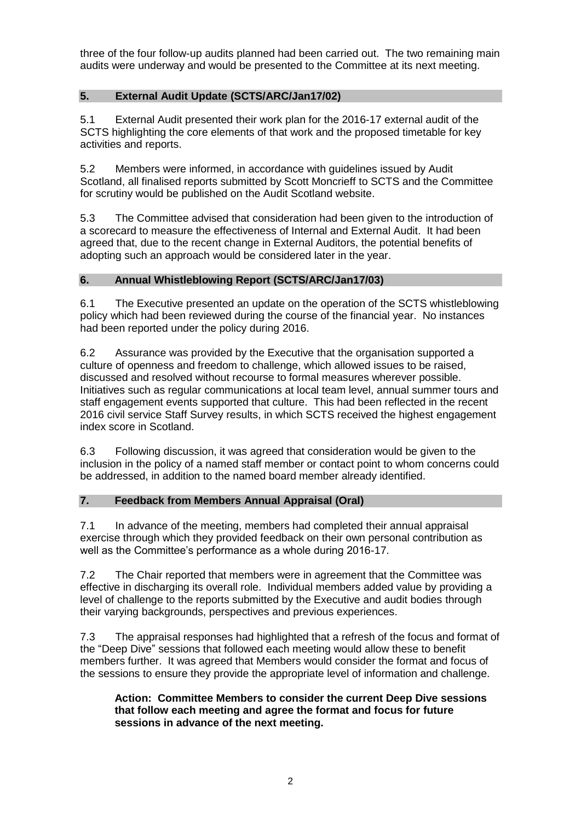three of the four follow-up audits planned had been carried out. The two remaining main audits were underway and would be presented to the Committee at its next meeting.

# **5. External Audit Update (SCTS/ARC/Jan17/02)**

5.1 External Audit presented their work plan for the 2016-17 external audit of the SCTS highlighting the core elements of that work and the proposed timetable for key activities and reports.

5.2 Members were informed, in accordance with guidelines issued by Audit Scotland, all finalised reports submitted by Scott Moncrieff to SCTS and the Committee for scrutiny would be published on the Audit Scotland website.

5.3 The Committee advised that consideration had been given to the introduction of a scorecard to measure the effectiveness of Internal and External Audit. It had been agreed that, due to the recent change in External Auditors, the potential benefits of adopting such an approach would be considered later in the year.

## **6. Annual Whistleblowing Report (SCTS/ARC/Jan17/03)**

6.1 The Executive presented an update on the operation of the SCTS whistleblowing policy which had been reviewed during the course of the financial year. No instances had been reported under the policy during 2016.

6.2 Assurance was provided by the Executive that the organisation supported a culture of openness and freedom to challenge, which allowed issues to be raised, discussed and resolved without recourse to formal measures wherever possible. Initiatives such as regular communications at local team level, annual summer tours and staff engagement events supported that culture. This had been reflected in the recent 2016 civil service Staff Survey results, in which SCTS received the highest engagement index score in Scotland.

6.3 Following discussion, it was agreed that consideration would be given to the inclusion in the policy of a named staff member or contact point to whom concerns could be addressed, in addition to the named board member already identified.

## **7. Feedback from Members Annual Appraisal (Oral)**

7.1 In advance of the meeting, members had completed their annual appraisal exercise through which they provided feedback on their own personal contribution as well as the Committee's performance as a whole during 2016-17.

7.2 The Chair reported that members were in agreement that the Committee was effective in discharging its overall role. Individual members added value by providing a level of challenge to the reports submitted by the Executive and audit bodies through their varying backgrounds, perspectives and previous experiences.

7.3 The appraisal responses had highlighted that a refresh of the focus and format of the "Deep Dive" sessions that followed each meeting would allow these to benefit members further. It was agreed that Members would consider the format and focus of the sessions to ensure they provide the appropriate level of information and challenge.

## **Action: Committee Members to consider the current Deep Dive sessions that follow each meeting and agree the format and focus for future sessions in advance of the next meeting.**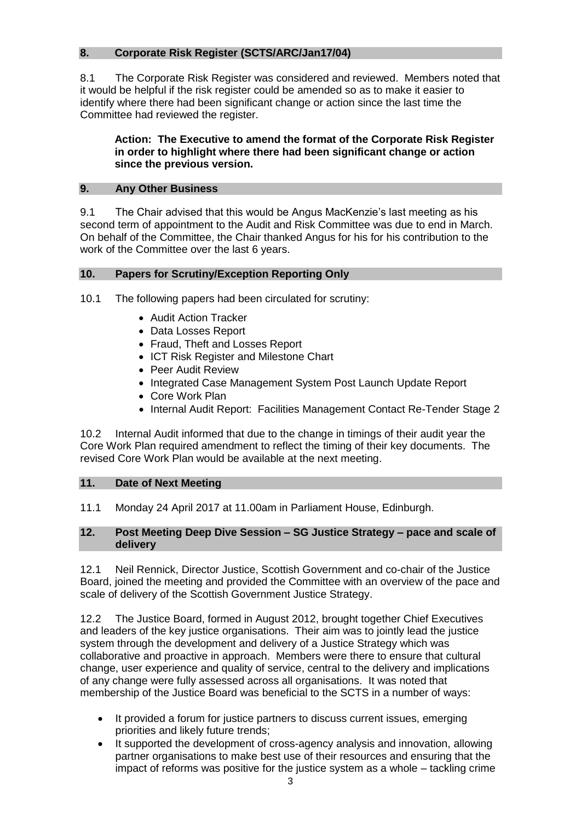# **8. Corporate Risk Register (SCTS/ARC/Jan17/04)**

8.1 The Corporate Risk Register was considered and reviewed. Members noted that it would be helpful if the risk register could be amended so as to make it easier to identify where there had been significant change or action since the last time the Committee had reviewed the register.

## **Action: The Executive to amend the format of the Corporate Risk Register in order to highlight where there had been significant change or action since the previous version.**

## **9. Any Other Business**

9.1 The Chair advised that this would be Angus MacKenzie's last meeting as his second term of appointment to the Audit and Risk Committee was due to end in March. On behalf of the Committee, the Chair thanked Angus for his for his contribution to the work of the Committee over the last 6 years.

## **10. Papers for Scrutiny/Exception Reporting Only**

10.1 The following papers had been circulated for scrutiny:

- Audit Action Tracker
- Data Losses Report
- Fraud, Theft and Losses Report
- ICT Risk Register and Milestone Chart
- Peer Audit Review
- Integrated Case Management System Post Launch Update Report
- Core Work Plan
- Internal Audit Report: Facilities Management Contact Re-Tender Stage 2

10.2 Internal Audit informed that due to the change in timings of their audit year the Core Work Plan required amendment to reflect the timing of their key documents. The revised Core Work Plan would be available at the next meeting.

### **11. Date of Next Meeting**

11.1 Monday 24 April 2017 at 11.00am in Parliament House, Edinburgh.

### **12. Post Meeting Deep Dive Session – SG Justice Strategy – pace and scale of delivery**

12.1 Neil Rennick, Director Justice, Scottish Government and co-chair of the Justice Board, joined the meeting and provided the Committee with an overview of the pace and scale of delivery of the Scottish Government Justice Strategy.

12.2 The Justice Board, formed in August 2012, brought together Chief Executives and leaders of the key justice organisations. Their aim was to jointly lead the justice system through the development and delivery of a Justice Strategy which was collaborative and proactive in approach. Members were there to ensure that cultural change, user experience and quality of service, central to the delivery and implications of any change were fully assessed across all organisations. It was noted that membership of the Justice Board was beneficial to the SCTS in a number of ways:

- It provided a forum for justice partners to discuss current issues, emerging priorities and likely future trends;
- It supported the development of cross-agency analysis and innovation, allowing partner organisations to make best use of their resources and ensuring that the impact of reforms was positive for the justice system as a whole – tackling crime